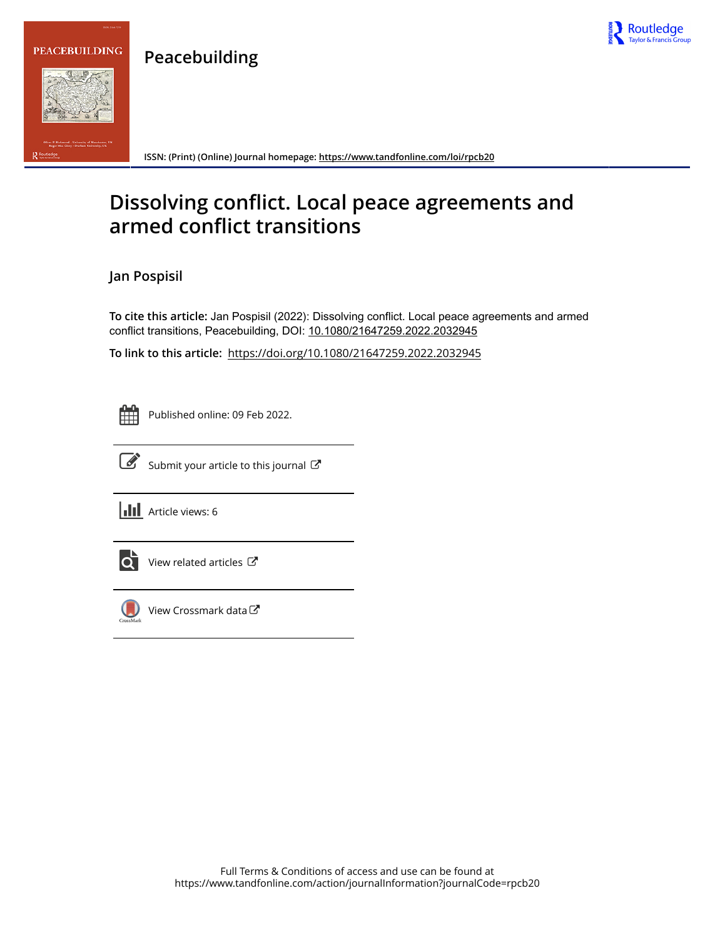



Routledge

**ISSN: (Print) (Online) Journal homepage:<https://www.tandfonline.com/loi/rpcb20>**

# **Dissolving conflict. Local peace agreements and armed conflict transitions**

**Jan Pospisil**

**To cite this article:** Jan Pospisil (2022): Dissolving conflict. Local peace agreements and armed conflict transitions, Peacebuilding, DOI: [10.1080/21647259.2022.2032945](https://www.tandfonline.com/action/showCitFormats?doi=10.1080/21647259.2022.2032945)

**To link to this article:** <https://doi.org/10.1080/21647259.2022.2032945>

Published online: 09 Feb 2022.



 $\overrightarrow{S}$  [Submit your article to this journal](https://www.tandfonline.com/action/authorSubmission?journalCode=rpcb20&show=instructions)  $\overrightarrow{S}$ 

**III** Article views: 6



 $\overrightarrow{Q}$  [View related articles](https://www.tandfonline.com/doi/mlt/10.1080/21647259.2022.2032945)  $\overrightarrow{C}$ 



[View Crossmark data](http://crossmark.crossref.org/dialog/?doi=10.1080/21647259.2022.2032945&domain=pdf&date_stamp=2022-02-09) $\mathbb{Z}$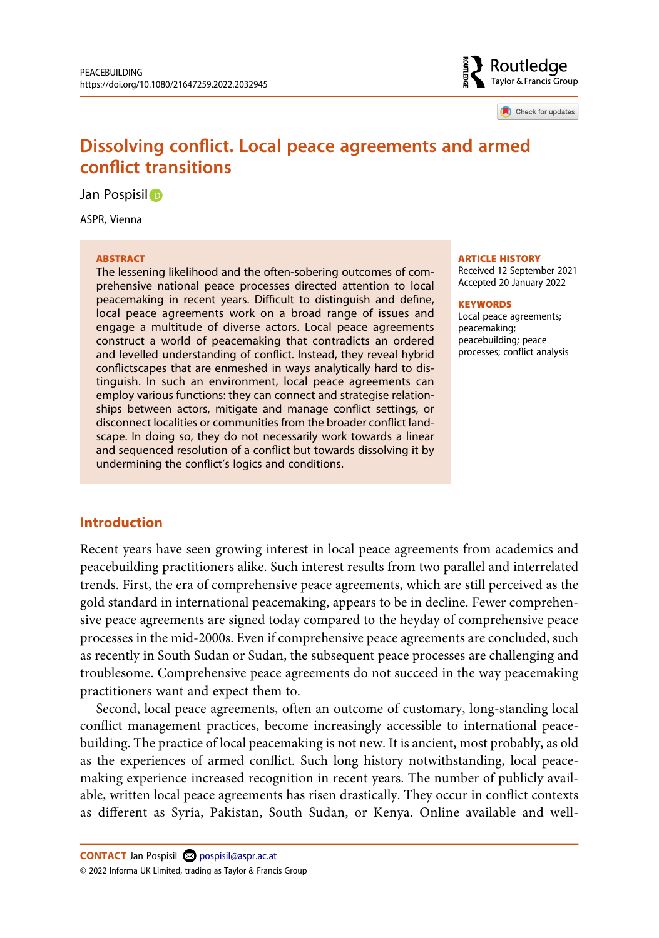

Check for updates

# **Dissolving conflict. Local peace agreements and armed conflict transitions**

Jan Pospisil<sub>D</sub>

ASPR, Vienna

#### **ABSTRACT**

The lessening likelihood and the often-sobering outcomes of comprehensive national peace processes directed attention to local peacemaking in recent years. Difficult to distinguish and define, local peace agreements work on a broad range of issues and engage a multitude of diverse actors. Local peace agreements construct a world of peacemaking that contradicts an ordered and levelled understanding of conflict. Instead, they reveal hybrid conflictscapes that are enmeshed in ways analytically hard to distinguish. In such an environment, local peace agreements can employ various functions: they can connect and strategise relationships between actors, mitigate and manage conflict settings, or disconnect localities or communities from the broader conflict landscape. In doing so, they do not necessarily work towards a linear and sequenced resolution of a conflict but towards dissolving it by undermining the conflict's logics and conditions.

#### **ARTICLE HISTORY**

Received 12 September 2021 Accepted 20 January 2022

#### **KEYWORDS**

Local peace agreements; peacemaking; peacebuilding; peace processes; conflict analysis

#### **Introduction**

Recent years have seen growing interest in local peace agreements from academics and peacebuilding practitioners alike. Such interest results from two parallel and interrelated trends. First, the era of comprehensive peace agreements, which are still perceived as the gold standard in international peacemaking, appears to be in decline. Fewer comprehensive peace agreements are signed today compared to the heyday of comprehensive peace processes in the mid-2000s. Even if comprehensive peace agreements are concluded, such as recently in South Sudan or Sudan, the subsequent peace processes are challenging and troublesome. Comprehensive peace agreements do not succeed in the way peacemaking practitioners want and expect them to.

Second, local peace agreements, often an outcome of customary, long-standing local conflict management practices, become increasingly accessible to international peacebuilding. The practice of local peacemaking is not new. It is ancient, most probably, as old as the experiences of armed conflict. Such long history notwithstanding, local peacemaking experience increased recognition in recent years. The number of publicly available, written local peace agreements has risen drastically. They occur in conflict contexts as different as Syria, Pakistan, South Sudan, or Kenya. Online available and well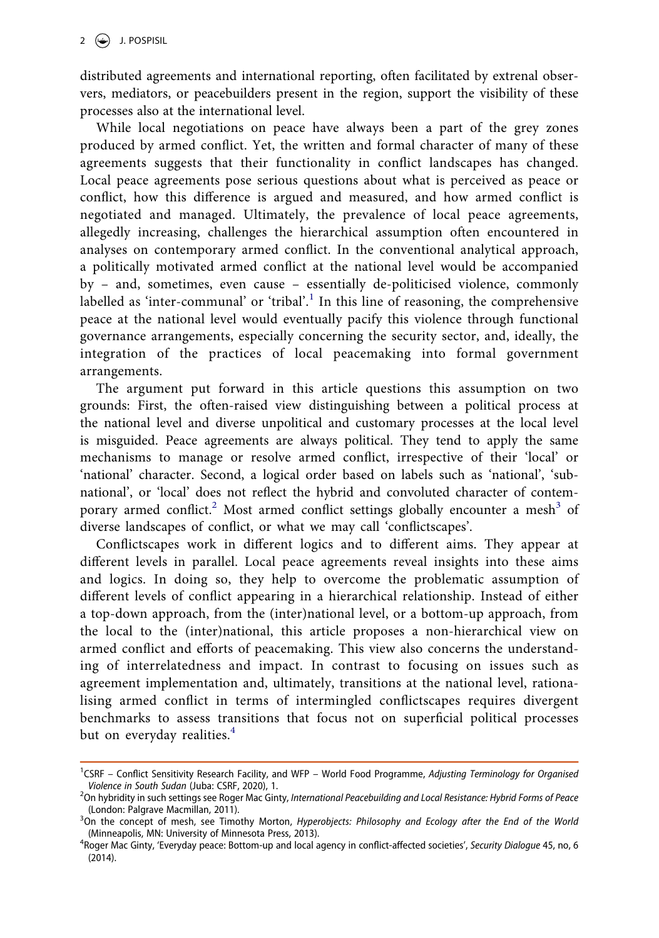distributed agreements and international reporting, often facilitated by extrenal observers, mediators, or peacebuilders present in the region, support the visibility of these processes also at the international level.

While local negotiations on peace have always been a part of the grey zones produced by armed conflict. Yet, the written and formal character of many of these agreements suggests that their functionality in conflict landscapes has changed. Local peace agreements pose serious questions about what is perceived as peace or conflict, how this difference is argued and measured, and how armed conflict is negotiated and managed. Ultimately, the prevalence of local peace agreements, allegedly increasing, challenges the hierarchical assumption often encountered in analyses on contemporary armed conflict. In the conventional analytical approach, a politically motivated armed conflict at the national level would be accompanied by – and, sometimes, even cause – essentially de-politicised violence, commonly labelled as 'inter-communal' or 'tribal'.<sup>[1](#page-2-0)</sup> In this line of reasoning, the comprehensive peace at the national level would eventually pacify this violence through functional governance arrangements, especially concerning the security sector, and, ideally, the integration of the practices of local peacemaking into formal government arrangements.

The argument put forward in this article questions this assumption on two grounds: First, the often-raised view distinguishing between a political process at the national level and diverse unpolitical and customary processes at the local level is misguided. Peace agreements are always political. They tend to apply the same mechanisms to manage or resolve armed conflict, irrespective of their 'local' or 'national' character. Second, a logical order based on labels such as 'national', 'subnational', or 'local' does not reflect the hybrid and convoluted character of contem-porary armed conflict.<sup>[2](#page-2-1)</sup> Most armed conflict settings globally encounter a mesh<sup>3</sup> of diverse landscapes of conflict, or what we may call 'conflictscapes'.

Conflictscapes work in different logics and to different aims. They appear at different levels in parallel. Local peace agreements reveal insights into these aims and logics. In doing so, they help to overcome the problematic assumption of different levels of conflict appearing in a hierarchical relationship. Instead of either a top-down approach, from the (inter)national level, or a bottom-up approach, from the local to the (inter)national, this article proposes a non-hierarchical view on armed conflict and efforts of peacemaking. This view also concerns the understanding of interrelatedness and impact. In contrast to focusing on issues such as agreement implementation and, ultimately, transitions at the national level, rationalising armed conflict in terms of intermingled conflictscapes requires divergent benchmarks to assess transitions that focus not on superficial political processes but on everyday realities.<sup>[4](#page-2-3)</sup>

<span id="page-2-0"></span><sup>&</sup>lt;sup>1</sup>CSRF - Conflict Sensitivity Research Facility, and WFP - World Food Programme, Adjusting Terminology for Organised *Violence in South Sudan* (Juba: CSRF, 2020), 1. <sup>2</sup>

<span id="page-2-1"></span><sup>&</sup>lt;sup>2</sup>On hybridity in such settings see Roger Mac Ginty, *International Peacebuilding and Local Resistance: Hybrid Forms of Peace* (London: Palgrave Macmillan, 2011).

<span id="page-2-2"></span><sup>&</sup>lt;sup>3</sup>On the concept of mesh, see Timothy Morton, *Hyperobjects: Philosophy and Ecology after the End of the World* (Minneapolis, MN: University of Minnesota Press, 2013). <sup>4</sup>

<span id="page-2-3"></span>Roger Mac Ginty, 'Everyday peace: Bottom-up and local agency in conflict-affected societies', *Security Dialogue* 45, no, 6 (2014).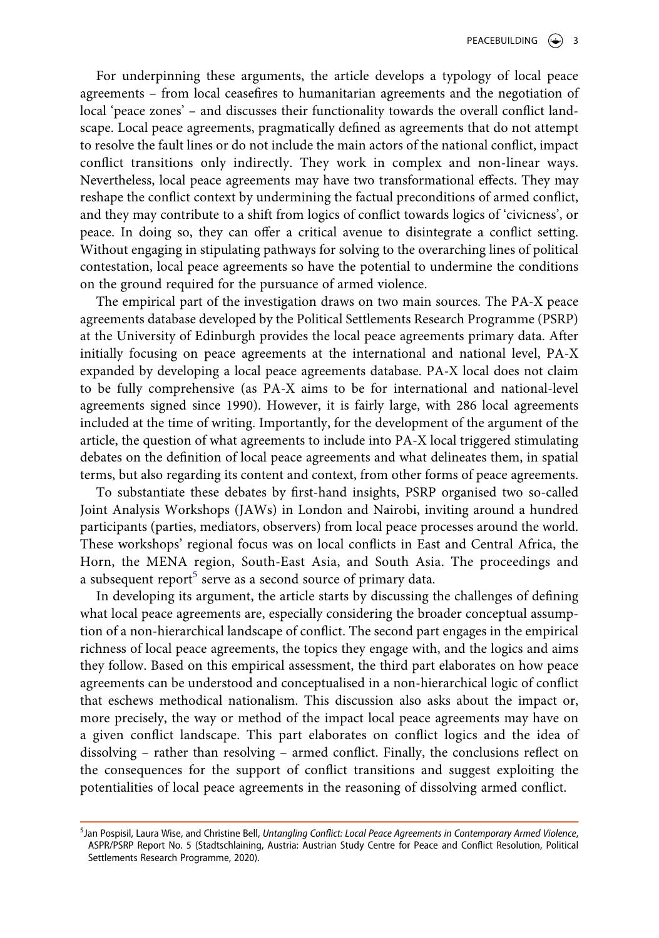For underpinning these arguments, the article develops a typology of local peace agreements – from local ceasefires to humanitarian agreements and the negotiation of local 'peace zones' – and discusses their functionality towards the overall conflict landscape. Local peace agreements, pragmatically defined as agreements that do not attempt to resolve the fault lines or do not include the main actors of the national conflict, impact conflict transitions only indirectly. They work in complex and non-linear ways. Nevertheless, local peace agreements may have two transformational effects. They may reshape the conflict context by undermining the factual preconditions of armed conflict, and they may contribute to a shift from logics of conflict towards logics of 'civicness', or peace. In doing so, they can offer a critical avenue to disintegrate a conflict setting. Without engaging in stipulating pathways for solving to the overarching lines of political contestation, local peace agreements so have the potential to undermine the conditions on the ground required for the pursuance of armed violence.

The empirical part of the investigation draws on two main sources. The PA-X peace agreements database developed by the Political Settlements Research Programme (PSRP) at the University of Edinburgh provides the local peace agreements primary data. After initially focusing on peace agreements at the international and national level, PA-X expanded by developing a local peace agreements database. PA-X local does not claim to be fully comprehensive (as PA-X aims to be for international and national-level agreements signed since 1990). However, it is fairly large, with 286 local agreements included at the time of writing. Importantly, for the development of the argument of the article, the question of what agreements to include into PA-X local triggered stimulating debates on the definition of local peace agreements and what delineates them, in spatial terms, but also regarding its content and context, from other forms of peace agreements.

To substantiate these debates by first-hand insights, PSRP organised two so-called Joint Analysis Workshops (JAWs) in London and Nairobi, inviting around a hundred participants (parties, mediators, observers) from local peace processes around the world. These workshops' regional focus was on local conflicts in East and Central Africa, the Horn, the MENA region, South-East Asia, and South Asia. The proceedings and a subsequent report<sup>5</sup> serve as a second source of primary data.

In developing its argument, the article starts by discussing the challenges of defining what local peace agreements are, especially considering the broader conceptual assumption of a non-hierarchical landscape of conflict. The second part engages in the empirical richness of local peace agreements, the topics they engage with, and the logics and aims they follow. Based on this empirical assessment, the third part elaborates on how peace agreements can be understood and conceptualised in a non-hierarchical logic of conflict that eschews methodical nationalism. This discussion also asks about the impact or, more precisely, the way or method of the impact local peace agreements may have on a given conflict landscape. This part elaborates on conflict logics and the idea of dissolving – rather than resolving – armed conflict. Finally, the conclusions reflect on the consequences for the support of conflict transitions and suggest exploiting the potentialities of local peace agreements in the reasoning of dissolving armed conflict.

<span id="page-3-0"></span><sup>5</sup> Jan Pospisil, Laura Wise, and Christine Bell, *Untangling Conflict: Local Peace Agreements in Contemporary Armed Violence*, ASPR/PSRP Report No. 5 (Stadtschlaining, Austria: Austrian Study Centre for Peace and Conflict Resolution, Political Settlements Research Programme, 2020).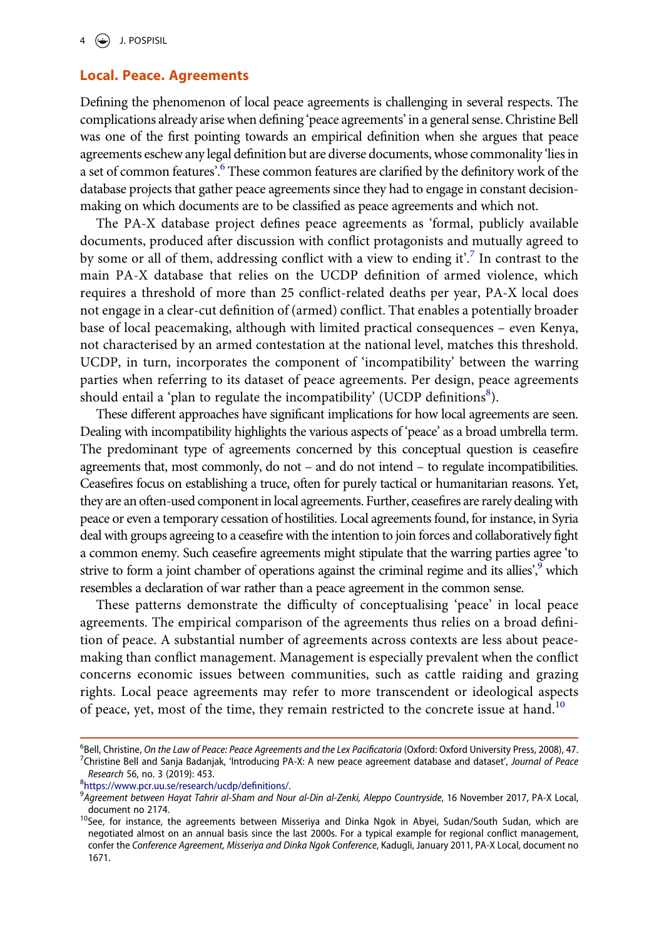## **Local. Peace. Agreements**

Defining the phenomenon of local peace agreements is challenging in several respects. The complications already arise when defining 'peace agreements' in a general sense. Christine Bell was one of the first pointing towards an empirical definition when she argues that peace agreements eschew any legal definition but are diverse documents, whose commonality 'lies in a set of common features'.<sup>6</sup> These common features are clarified by the definitory work of the database projects that gather peace agreements since they had to engage in constant decisionmaking on which documents are to be classified as peace agreements and which not.

The PA-X database project defines peace agreements as 'formal, publicly available documents, produced after discussion with conflict protagonists and mutually agreed to by some or all of them, addressing conflict with a view to ending it'.[7](#page-4-1) In contrast to the main PA-X database that relies on the UCDP definition of armed violence, which requires a threshold of more than 25 conflict-related deaths per year, PA-X local does not engage in a clear-cut definition of (armed) conflict. That enables a potentially broader base of local peacemaking, although with limited practical consequences – even Kenya, not characterised by an armed contestation at the national level, matches this threshold. UCDP, in turn, incorporates the component of 'incompatibility' between the warring parties when referring to its dataset of peace agreements. Per design, peace agreements should entail a 'plan to regulate the incompatibility' (UCDP definitions ${}^{8}$  ${}^{8}$  ${}^{8}$ ).

These different approaches have significant implications for how local agreements are seen. Dealing with incompatibility highlights the various aspects of 'peace' as a broad umbrella term. The predominant type of agreements concerned by this conceptual question is ceasefire agreements that, most commonly, do not – and do not intend – to regulate incompatibilities. Ceasefires focus on establishing a truce, often for purely tactical or humanitarian reasons. Yet, they are an often-used component in local agreements. Further, ceasefires are rarely dealing with peace or even a temporary cessation of hostilities. Local agreements found, for instance, in Syria deal with groups agreeing to a ceasefire with the intention to join forces and collaboratively fight a common enemy. Such ceasefire agreements might stipulate that the warring parties agree 'to strive to form a joint chamber of operations against the criminal regime and its allies', $\frac{9}{2}$  which resembles a declaration of war rather than a peace agreement in the common sense.

These patterns demonstrate the difficulty of conceptualising 'peace' in local peace agreements. The empirical comparison of the agreements thus relies on a broad definition of peace. A substantial number of agreements across contexts are less about peacemaking than conflict management. Management is especially prevalent when the conflict concerns economic issues between communities, such as cattle raiding and grazing rights. Local peace agreements may refer to more transcendent or ideological aspects of peace, yet, most of the time, they remain restricted to the concrete issue at hand.<sup>[10](#page-4-4)</sup>

<span id="page-4-2"></span><https://www.pcr.uu.se/research/ucdp/definitions/>. <sup>9</sup>

<span id="page-4-1"></span><span id="page-4-0"></span><sup>&</sup>lt;sup>6</sup>Bell, Christine, *On the Law of Peace: Peace Agreements and the Lex Pacificatoria* (Oxford: Oxford University Press, 2008), 47.<br><sup>7</sup>Christine, Bell and Sanja Badaniak, 'Introducing PA-Y: A new peace agreement database an Christine Bell and Sanja Badanjak, 'Introducing PA-X: A new peace agreement database and dataset', *Journal of Peace Research* 56, no. 3 (2019): 453.

<span id="page-4-3"></span>*Agreement between Hayat Tahrir al-Sham and Nour al-Din al-Zenki, Aleppo Countryside*, 16 November 2017, PA-X Local,

<span id="page-4-4"></span>document no 2174.<br><sup>10</sup>See, for instance, the agreements between Misseriya and Dinka Ngok in Abyei, Sudan/South Sudan, which are negotiated almost on an annual basis since the last 2000s. For a typical example for regional conflict management, confer the *Conference Agreement, Misseriya and Dinka Ngok Conference*, Kadugli, January 2011, PA-X Local, document no 1671.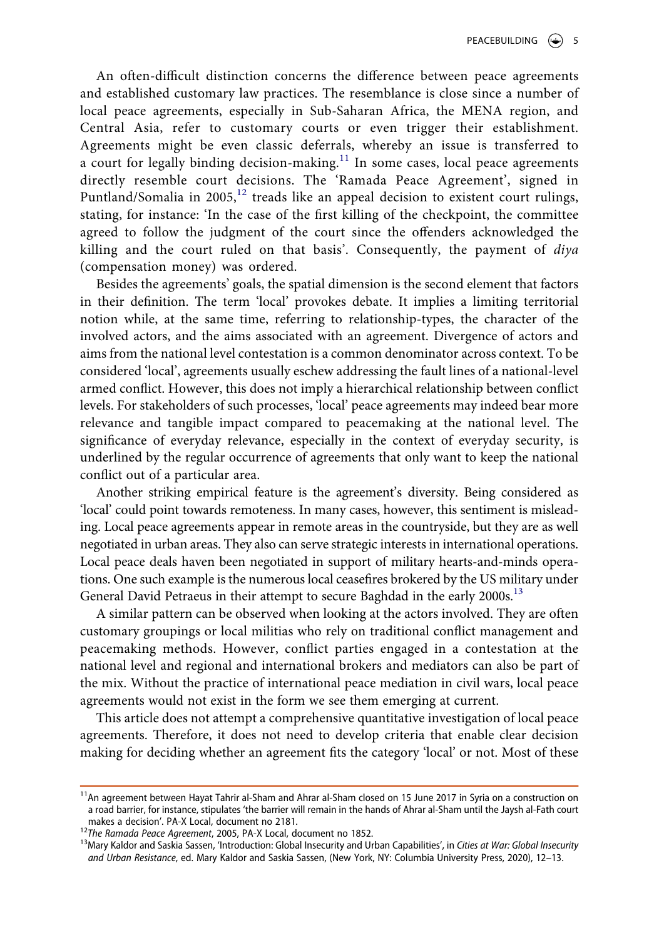An often-difficult distinction concerns the difference between peace agreements and established customary law practices. The resemblance is close since a number of local peace agreements, especially in Sub-Saharan Africa, the MENA region, and Central Asia, refer to customary courts or even trigger their establishment. Agreements might be even classic deferrals, whereby an issue is transferred to a court for legally binding decision-making.<sup>11</sup> In some cases, local peace agreements directly resemble court decisions. The 'Ramada Peace Agreement', signed in Puntland/Somalia in 2005,<sup>12</sup> treads like an appeal decision to existent court rulings, stating, for instance: 'In the case of the first killing of the checkpoint, the committee agreed to follow the judgment of the court since the offenders acknowledged the killing and the court ruled on that basis'. Consequently, the payment of *diya*  (compensation money) was ordered.

Besides the agreements' goals, the spatial dimension is the second element that factors in their definition. The term 'local' provokes debate. It implies a limiting territorial notion while, at the same time, referring to relationship-types, the character of the involved actors, and the aims associated with an agreement. Divergence of actors and aims from the national level contestation is a common denominator across context. To be considered 'local', agreements usually eschew addressing the fault lines of a national-level armed conflict. However, this does not imply a hierarchical relationship between conflict levels. For stakeholders of such processes, 'local' peace agreements may indeed bear more relevance and tangible impact compared to peacemaking at the national level. The significance of everyday relevance, especially in the context of everyday security, is underlined by the regular occurrence of agreements that only want to keep the national conflict out of a particular area.

Another striking empirical feature is the agreement's diversity. Being considered as 'local' could point towards remoteness. In many cases, however, this sentiment is misleading. Local peace agreements appear in remote areas in the countryside, but they are as well negotiated in urban areas. They also can serve strategic interests in international operations. Local peace deals haven been negotiated in support of military hearts-and-minds operations. One such example is the numerous local ceasefires brokered by the US military under General David Petraeus in their attempt to secure Baghdad in the early 2000s.<sup>13</sup>

A similar pattern can be observed when looking at the actors involved. They are often customary groupings or local militias who rely on traditional conflict management and peacemaking methods. However, conflict parties engaged in a contestation at the national level and regional and international brokers and mediators can also be part of the mix. Without the practice of international peace mediation in civil wars, local peace agreements would not exist in the form we see them emerging at current.

This article does not attempt a comprehensive quantitative investigation of local peace agreements. Therefore, it does not need to develop criteria that enable clear decision making for deciding whether an agreement fits the category 'local' or not. Most of these

<span id="page-5-0"></span><sup>11</sup>An agreement between Hayat Tahrir al-Sham and Ahrar al-Sham closed on 15 June 2017 in Syria on a construction on a road barrier, for instance, stipulates 'the barrier will remain in the hands of Ahrar al-Sham until the Jaysh al-Fath court makes a decision'. PA-X Local, document no 2181.

<span id="page-5-2"></span>

<span id="page-5-1"></span><sup>&</sup>lt;sup>12</sup>The Ramada Peace Agreement, 2005, PA-X Local, document no 1852.<br><sup>13</sup>Mary Kaldor and Saskia Sassen, 'Introduction: Global Insecurity and Urban Capabilities', in Cities at War: Global Insecurity *and Urban Resistance*, ed. Mary Kaldor and Saskia Sassen, (New York, NY: Columbia University Press, 2020), 12–13.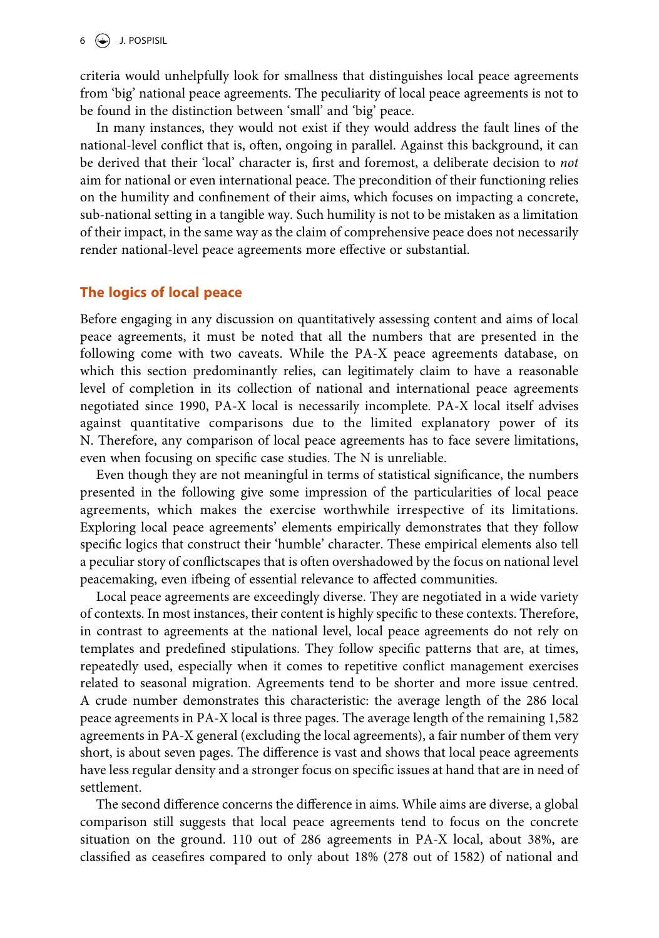criteria would unhelpfully look for smallness that distinguishes local peace agreements from 'big' national peace agreements. The peculiarity of local peace agreements is not to be found in the distinction between 'small' and 'big' peace.

In many instances, they would not exist if they would address the fault lines of the national-level conflict that is, often, ongoing in parallel. Against this background, it can be derived that their 'local' character is, first and foremost, a deliberate decision to *not*  aim for national or even international peace. The precondition of their functioning relies on the humility and confinement of their aims, which focuses on impacting a concrete, sub-national setting in a tangible way. Such humility is not to be mistaken as a limitation of their impact, in the same way as the claim of comprehensive peace does not necessarily render national-level peace agreements more effective or substantial.

## **The logics of local peace**

Before engaging in any discussion on quantitatively assessing content and aims of local peace agreements, it must be noted that all the numbers that are presented in the following come with two caveats. While the PA-X peace agreements database, on which this section predominantly relies, can legitimately claim to have a reasonable level of completion in its collection of national and international peace agreements negotiated since 1990, PA-X local is necessarily incomplete. PA-X local itself advises against quantitative comparisons due to the limited explanatory power of its N. Therefore, any comparison of local peace agreements has to face severe limitations, even when focusing on specific case studies. The N is unreliable.

Even though they are not meaningful in terms of statistical significance, the numbers presented in the following give some impression of the particularities of local peace agreements, which makes the exercise worthwhile irrespective of its limitations. Exploring local peace agreements' elements empirically demonstrates that they follow specific logics that construct their 'humble' character. These empirical elements also tell a peculiar story of conflictscapes that is often overshadowed by the focus on national level peacemaking, even ifbeing of essential relevance to affected communities.

Local peace agreements are exceedingly diverse. They are negotiated in a wide variety of contexts. In most instances, their content is highly specific to these contexts. Therefore, in contrast to agreements at the national level, local peace agreements do not rely on templates and predefined stipulations. They follow specific patterns that are, at times, repeatedly used, especially when it comes to repetitive conflict management exercises related to seasonal migration. Agreements tend to be shorter and more issue centred. A crude number demonstrates this characteristic: the average length of the 286 local peace agreements in PA-X local is three pages. The average length of the remaining 1,582 agreements in PA-X general (excluding the local agreements), a fair number of them very short, is about seven pages. The difference is vast and shows that local peace agreements have less regular density and a stronger focus on specific issues at hand that are in need of settlement.

The second difference concerns the difference in aims. While aims are diverse, a global comparison still suggests that local peace agreements tend to focus on the concrete situation on the ground. 110 out of 286 agreements in PA-X local, about 38%, are classified as ceasefires compared to only about 18% (278 out of 1582) of national and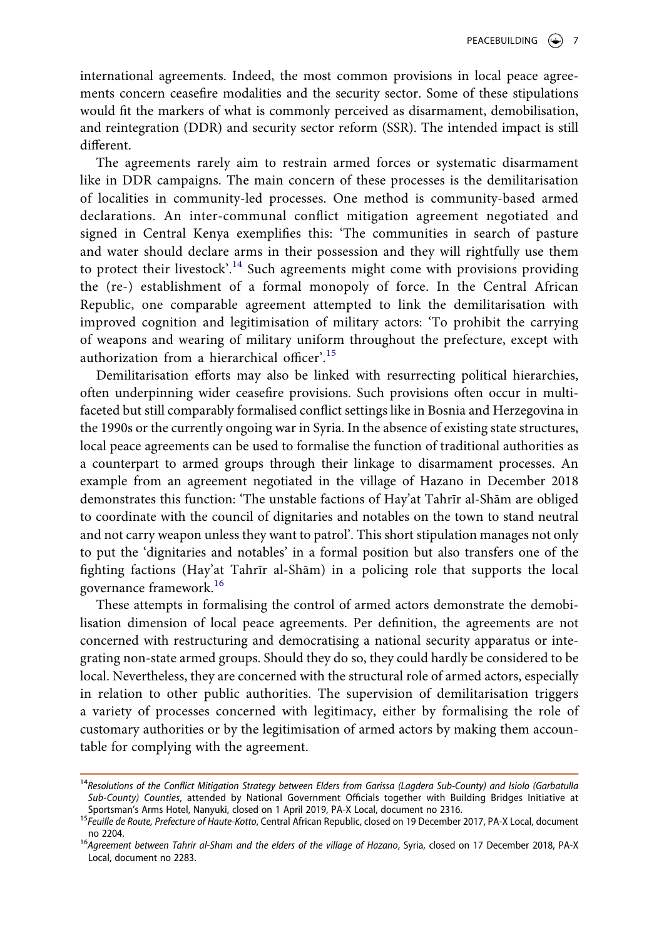international agreements. Indeed, the most common provisions in local peace agreements concern ceasefire modalities and the security sector. Some of these stipulations would fit the markers of what is commonly perceived as disarmament, demobilisation, and reintegration (DDR) and security sector reform (SSR). The intended impact is still different.

The agreements rarely aim to restrain armed forces or systematic disarmament like in DDR campaigns. The main concern of these processes is the demilitarisation of localities in community-led processes. One method is community-based armed declarations. An inter-communal conflict mitigation agreement negotiated and signed in Central Kenya exemplifies this: 'The communities in search of pasture and water should declare arms in their possession and they will rightfully use them to protect their livestock'.<sup>14</sup> Such agreements might come with provisions providing the (re-) establishment of a formal monopoly of force. In the Central African Republic, one comparable agreement attempted to link the demilitarisation with improved cognition and legitimisation of military actors: 'To prohibit the carrying of weapons and wearing of military uniform throughout the prefecture, except with authorization from a hierarchical officer'.<sup>[15](#page-7-1)</sup>

Demilitarisation efforts may also be linked with resurrecting political hierarchies, often underpinning wider ceasefire provisions. Such provisions often occur in multifaceted but still comparably formalised conflict settings like in Bosnia and Herzegovina in the 1990s or the currently ongoing war in Syria. In the absence of existing state structures, local peace agreements can be used to formalise the function of traditional authorities as a counterpart to armed groups through their linkage to disarmament processes. An example from an agreement negotiated in the village of Hazano in December 2018 demonstrates this function: 'The unstable factions of Hay'at Tahrīr al-Shām are obliged to coordinate with the council of dignitaries and notables on the town to stand neutral and not carry weapon unless they want to patrol'. This short stipulation manages not only to put the 'dignitaries and notables' in a formal position but also transfers one of the fighting factions (Hay'at Tahrīr al-Shām) in a policing role that supports the local governance framework.[16](#page-7-2)

These attempts in formalising the control of armed actors demonstrate the demobilisation dimension of local peace agreements. Per definition, the agreements are not concerned with restructuring and democratising a national security apparatus or integrating non-state armed groups. Should they do so, they could hardly be considered to be local. Nevertheless, they are concerned with the structural role of armed actors, especially in relation to other public authorities. The supervision of demilitarisation triggers a variety of processes concerned with legitimacy, either by formalising the role of customary authorities or by the legitimisation of armed actors by making them accountable for complying with the agreement.

<span id="page-7-0"></span><sup>14</sup>*Resolutions of the Conflict Mitigation Strategy between Elders from Garissa (Lagdera Sub-County) and Isiolo (Garbatulla Sub-County) Counties*, attended by National Government Officials together with Building Bridges Initiative at

<span id="page-7-1"></span>Sportsman's Arms Hotel, Nanyuki, closed on 1 April 2019, PA-X Local, document no 2316. <sup>15</sup>*Feuille de Route, Prefecture of Haute-Kotto*, Central African Republic, closed on 19 December 2017, PA-X Local, document no 2204. <sup>16</sup>*Agreement between Tahrir al-Sham and the elders of the village of Hazano*, Syria, closed on 17 December 2018, PA-X

<span id="page-7-2"></span>Local, document no 2283.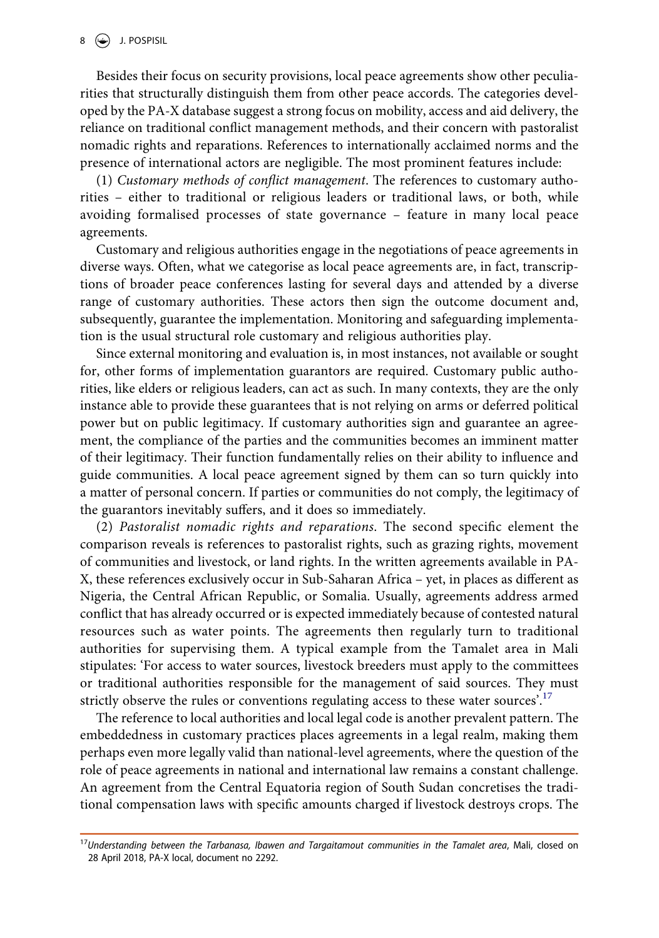Besides their focus on security provisions, local peace agreements show other peculiarities that structurally distinguish them from other peace accords. The categories developed by the PA-X database suggest a strong focus on mobility, access and aid delivery, the reliance on traditional conflict management methods, and their concern with pastoralist nomadic rights and reparations. References to internationally acclaimed norms and the presence of international actors are negligible. The most prominent features include:

(1) *Customary methods of conflict management*. The references to customary authorities – either to traditional or religious leaders or traditional laws, or both, while avoiding formalised processes of state governance – feature in many local peace agreements.

Customary and religious authorities engage in the negotiations of peace agreements in diverse ways. Often, what we categorise as local peace agreements are, in fact, transcriptions of broader peace conferences lasting for several days and attended by a diverse range of customary authorities. These actors then sign the outcome document and, subsequently, guarantee the implementation. Monitoring and safeguarding implementation is the usual structural role customary and religious authorities play.

Since external monitoring and evaluation is, in most instances, not available or sought for, other forms of implementation guarantors are required. Customary public authorities, like elders or religious leaders, can act as such. In many contexts, they are the only instance able to provide these guarantees that is not relying on arms or deferred political power but on public legitimacy. If customary authorities sign and guarantee an agreement, the compliance of the parties and the communities becomes an imminent matter of their legitimacy. Their function fundamentally relies on their ability to influence and guide communities. A local peace agreement signed by them can so turn quickly into a matter of personal concern. If parties or communities do not comply, the legitimacy of the guarantors inevitably suffers, and it does so immediately.

(2) *Pastoralist nomadic rights and reparations*. The second specific element the comparison reveals is references to pastoralist rights, such as grazing rights, movement of communities and livestock, or land rights. In the written agreements available in PA-X, these references exclusively occur in Sub-Saharan Africa – yet, in places as different as Nigeria, the Central African Republic, or Somalia. Usually, agreements address armed conflict that has already occurred or is expected immediately because of contested natural resources such as water points. The agreements then regularly turn to traditional authorities for supervising them. A typical example from the Tamalet area in Mali stipulates: 'For access to water sources, livestock breeders must apply to the committees or traditional authorities responsible for the management of said sources. They must strictly observe the rules or conventions regulating access to these water sources'.<sup>[17](#page-8-0)</sup>

The reference to local authorities and local legal code is another prevalent pattern. The embeddedness in customary practices places agreements in a legal realm, making them perhaps even more legally valid than national-level agreements, where the question of the role of peace agreements in national and international law remains a constant challenge. An agreement from the Central Equatoria region of South Sudan concretises the traditional compensation laws with specific amounts charged if livestock destroys crops. The

<span id="page-8-0"></span><sup>17</sup>*Understanding between the Tarbanasa, Ibawen and Targaitamout communities in the Tamalet area*, Mali, closed on 28 April 2018, PA-X local, document no 2292.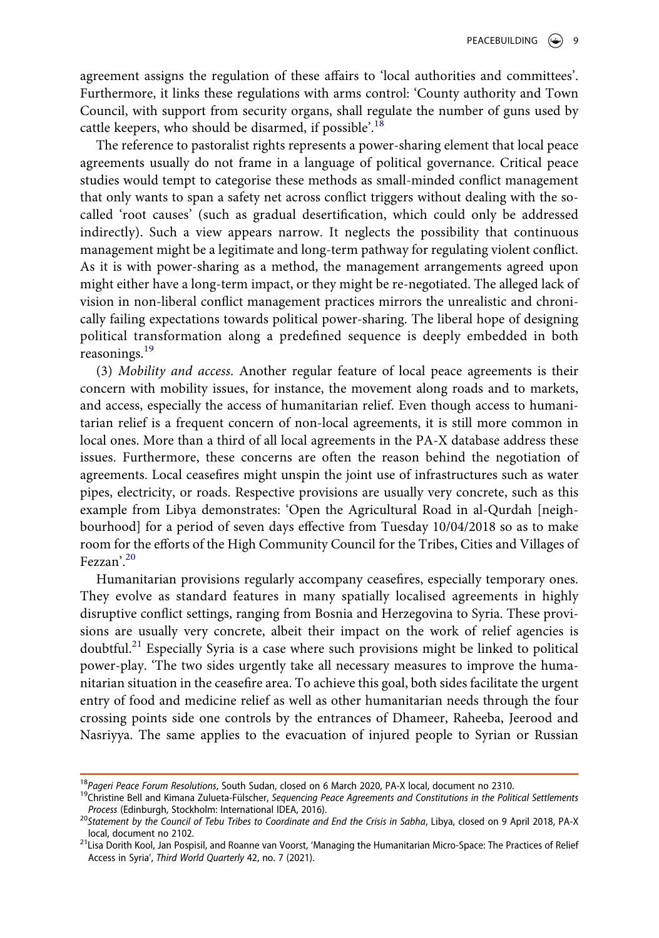agreement assigns the regulation of these affairs to 'local authorities and committees'. Furthermore, it links these regulations with arms control: 'County authority and Town Council, with support from security organs, shall regulate the number of guns used by cattle keepers, who should be disarmed, if possible'.<sup>18</sup>

The reference to pastoralist rights represents a power-sharing element that local peace agreements usually do not frame in a language of political governance. Critical peace studies would tempt to categorise these methods as small-minded conflict management that only wants to span a safety net across conflict triggers without dealing with the socalled 'root causes' (such as gradual desertification, which could only be addressed indirectly). Such a view appears narrow. It neglects the possibility that continuous management might be a legitimate and long-term pathway for regulating violent conflict. As it is with power-sharing as a method, the management arrangements agreed upon might either have a long-term impact, or they might be re-negotiated. The alleged lack of vision in non-liberal conflict management practices mirrors the unrealistic and chronically failing expectations towards political power-sharing. The liberal hope of designing political transformation along a predefined sequence is deeply embedded in both reasonings.<sup>[19](#page-9-1)</sup>

(3) *Mobility and access*. Another regular feature of local peace agreements is their concern with mobility issues, for instance, the movement along roads and to markets, and access, especially the access of humanitarian relief. Even though access to humanitarian relief is a frequent concern of non-local agreements, it is still more common in local ones. More than a third of all local agreements in the PA-X database address these issues. Furthermore, these concerns are often the reason behind the negotiation of agreements. Local ceasefires might unspin the joint use of infrastructures such as water pipes, electricity, or roads. Respective provisions are usually very concrete, such as this example from Libya demonstrates: 'Open the Agricultural Road in al-Qurdah [neighbourhood] for a period of seven days effective from Tuesday 10/04/2018 so as to make room for the efforts of the High Community Council for the Tribes, Cities and Villages of Fezzan'.[20](#page-9-2)

Humanitarian provisions regularly accompany ceasefires, especially temporary ones. They evolve as standard features in many spatially localised agreements in highly disruptive conflict settings, ranging from Bosnia and Herzegovina to Syria. These provisions are usually very concrete, albeit their impact on the work of relief agencies is doubtful.<sup>[21](#page-9-3)</sup> Especially Syria is a case where such provisions might be linked to political power-play. 'The two sides urgently take all necessary measures to improve the humanitarian situation in the ceasefire area. To achieve this goal, both sides facilitate the urgent entry of food and medicine relief as well as other humanitarian needs through the four crossing points side one controls by the entrances of Dhameer, Raheeba, Jeerood and Nasriyya. The same applies to the evacuation of injured people to Syrian or Russian

<span id="page-9-1"></span>

<span id="page-9-0"></span><sup>&</sup>lt;sup>18</sup>Pageri Peace Forum Resolutions, South Sudan, closed on 6 March 2020, PA-X local, document no 2310.<br><sup>19</sup>Christine Bell and Kimana Zulueta-Fülscher, *Sequencing Peace Agreements and Constitutions in the Political Settlem* 

<span id="page-9-2"></span>*Process* (Edinburgh, Stockholm: International IDEA, 2016). <sup>20</sup>*Statement by the Council of Tebu Tribes to Coordinate and End the Crisis in Sabha*, Libya, closed on 9 April 2018, PA-X

<span id="page-9-3"></span><sup>&</sup>lt;sup>21</sup>Lisa Dorith Kool, Jan Pospisil, and Roanne van Voorst, 'Managing the Humanitarian Micro-Space: The Practices of Relief Access in Syria', *Third World Quarterly* 42, no. 7 (2021).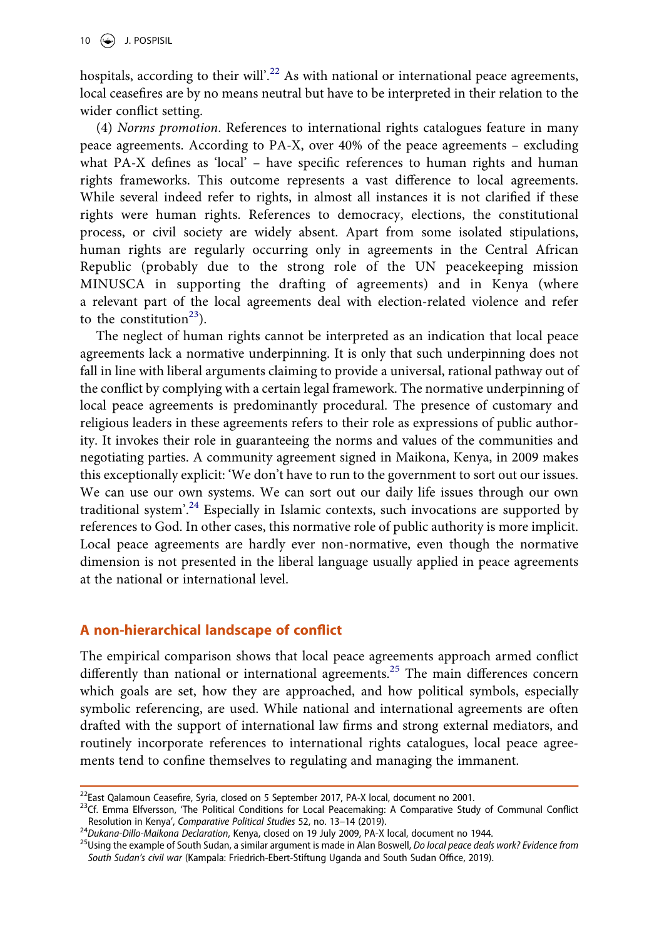$10 \quad \circled{\bigoplus}$  J. POSPISIL

hospitals, according to their will'.<sup>22</sup> As with national or international peace agreements, local ceasefires are by no means neutral but have to be interpreted in their relation to the wider conflict setting.

(4) *Norms promotion*. References to international rights catalogues feature in many peace agreements. According to PA-X, over 40% of the peace agreements – excluding what PA-X defines as 'local' – have specific references to human rights and human rights frameworks. This outcome represents a vast difference to local agreements. While several indeed refer to rights, in almost all instances it is not clarified if these rights were human rights. References to democracy, elections, the constitutional process, or civil society are widely absent. Apart from some isolated stipulations, human rights are regularly occurring only in agreements in the Central African Republic (probably due to the strong role of the UN peacekeeping mission MINUSCA in supporting the drafting of agreements) and in Kenya (where a relevant part of the local agreements deal with election-related violence and refer to the constitution<sup>23</sup>).

The neglect of human rights cannot be interpreted as an indication that local peace agreements lack a normative underpinning. It is only that such underpinning does not fall in line with liberal arguments claiming to provide a universal, rational pathway out of the conflict by complying with a certain legal framework. The normative underpinning of local peace agreements is predominantly procedural. The presence of customary and religious leaders in these agreements refers to their role as expressions of public authority. It invokes their role in guaranteeing the norms and values of the communities and negotiating parties. A community agreement signed in Maikona, Kenya, in 2009 makes this exceptionally explicit: 'We don't have to run to the government to sort out our issues. We can use our own systems. We can sort out our daily life issues through our own traditional system<sup>'[.24](#page-10-2)</sup> Especially in Islamic contexts, such invocations are supported by references to God. In other cases, this normative role of public authority is more implicit. Local peace agreements are hardly ever non-normative, even though the normative dimension is not presented in the liberal language usually applied in peace agreements at the national or international level.

# **A non-hierarchical landscape of conflict**

The empirical comparison shows that local peace agreements approach armed conflict differently than national or international agreements.<sup>[25](#page-10-3)</sup> The main differences concern which goals are set, how they are approached, and how political symbols, especially symbolic referencing, are used. While national and international agreements are often drafted with the support of international law firms and strong external mediators, and routinely incorporate references to international rights catalogues, local peace agreements tend to confine themselves to regulating and managing the immanent.

<span id="page-10-1"></span>

<span id="page-10-0"></span><sup>&</sup>lt;sup>22</sup>East Qalamoun Ceasefire, Syria, closed on 5 September 2017, PA-X local, document no 2001.<br><sup>23</sup>Cf. Emma Elfversson, 'The Political Conditions for Local Peacemaking: A Comparative Study of Communal Conflict<br>Resolution i

<span id="page-10-3"></span>

<span id="page-10-2"></span><sup>&</sup>lt;sup>24</sup>Dukana-Dillo-Maikona Declaration, Kenya, closed on 19 July 2009, PA-X local, document no 1944.<br><sup>25</sup>Using the example of South Sudan, a similar argument is made in Alan Boswell, Do local peace deals work? Evidence from *South Sudan's civil war* (Kampala: Friedrich-Ebert-Stiftung Uganda and South Sudan Office, 2019).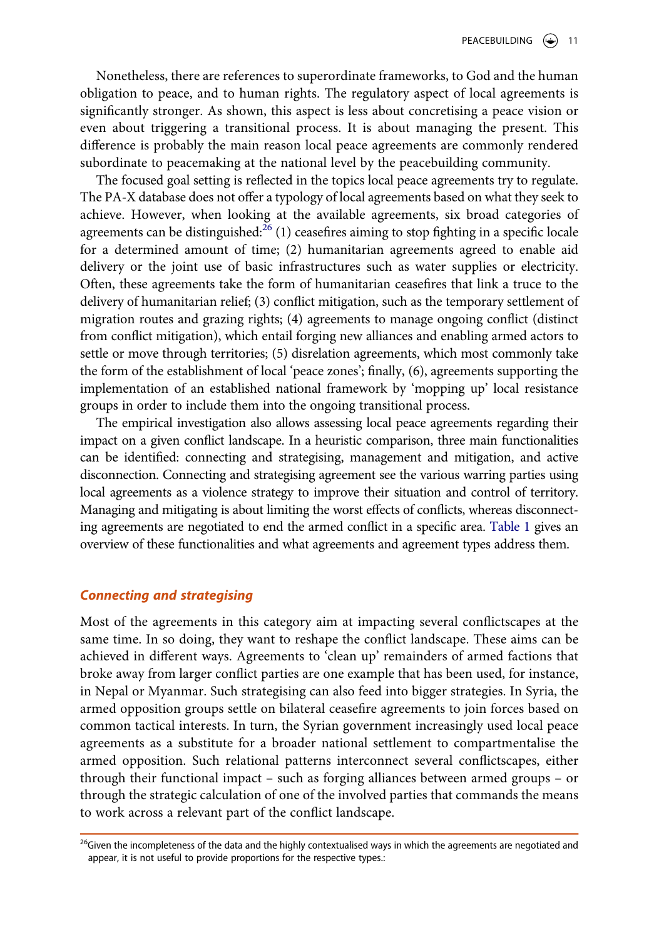Nonetheless, there are references to superordinate frameworks, to God and the human obligation to peace, and to human rights. The regulatory aspect of local agreements is significantly stronger. As shown, this aspect is less about concretising a peace vision or even about triggering a transitional process. It is about managing the present. This difference is probably the main reason local peace agreements are commonly rendered subordinate to peacemaking at the national level by the peacebuilding community.

The focused goal setting is reflected in the topics local peace agreements try to regulate. The PA-X database does not offer a typology of local agreements based on what they seek to achieve. However, when looking at the available agreements, six broad categories of agreements can be distinguished: $^{26}$  (1) ceasefires aiming to stop fighting in a specific locale for a determined amount of time; (2) humanitarian agreements agreed to enable aid delivery or the joint use of basic infrastructures such as water supplies or electricity. Often, these agreements take the form of humanitarian ceasefires that link a truce to the delivery of humanitarian relief; (3) conflict mitigation, such as the temporary settlement of migration routes and grazing rights; (4) agreements to manage ongoing conflict (distinct from conflict mitigation), which entail forging new alliances and enabling armed actors to settle or move through territories; (5) disrelation agreements, which most commonly take the form of the establishment of local 'peace zones'; finally, (6), agreements supporting the implementation of an established national framework by 'mopping up' local resistance groups in order to include them into the ongoing transitional process.

The empirical investigation also allows assessing local peace agreements regarding their impact on a given conflict landscape. In a heuristic comparison, three main functionalities can be identified: connecting and strategising, management and mitigation, and active disconnection. Connecting and strategising agreement see the various warring parties using local agreements as a violence strategy to improve their situation and control of territory. Managing and mitigating is about limiting the worst effects of conflicts, whereas disconnecting agreements are negotiated to end the armed conflict in a specific area. [Table 1](#page-15-0) gives an overview of these functionalities and what agreements and agreement types address them.

#### *Connecting and strategising*

Most of the agreements in this category aim at impacting several conflictscapes at the same time. In so doing, they want to reshape the conflict landscape. These aims can be achieved in different ways. Agreements to 'clean up' remainders of armed factions that broke away from larger conflict parties are one example that has been used, for instance, in Nepal or Myanmar. Such strategising can also feed into bigger strategies. In Syria, the armed opposition groups settle on bilateral ceasefire agreements to join forces based on common tactical interests. In turn, the Syrian government increasingly used local peace agreements as a substitute for a broader national settlement to compartmentalise the armed opposition. Such relational patterns interconnect several conflictscapes, either through their functional impact – such as forging alliances between armed groups – or through the strategic calculation of one of the involved parties that commands the means to work across a relevant part of the conflict landscape.

<span id="page-11-0"></span><sup>&</sup>lt;sup>26</sup>Given the incompleteness of the data and the highly contextualised ways in which the agreements are negotiated and appear, it is not useful to provide proportions for the respective types.: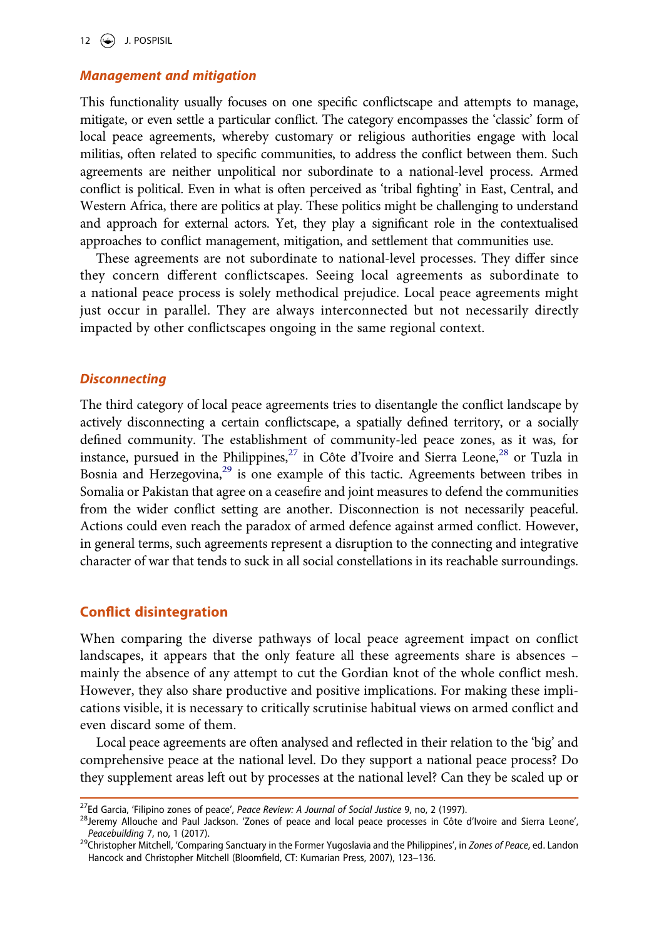#### *Management and mitigation*

This functionality usually focuses on one specific conflictscape and attempts to manage, mitigate, or even settle a particular conflict. The category encompasses the 'classic' form of local peace agreements, whereby customary or religious authorities engage with local militias, often related to specific communities, to address the conflict between them. Such agreements are neither unpolitical nor subordinate to a national-level process. Armed conflict is political. Even in what is often perceived as 'tribal fighting' in East, Central, and Western Africa, there are politics at play. These politics might be challenging to understand and approach for external actors. Yet, they play a significant role in the contextualised approaches to conflict management, mitigation, and settlement that communities use.

These agreements are not subordinate to national-level processes. They differ since they concern different conflictscapes. Seeing local agreements as subordinate to a national peace process is solely methodical prejudice. Local peace agreements might just occur in parallel. They are always interconnected but not necessarily directly impacted by other conflictscapes ongoing in the same regional context.

#### *Disconnecting*

The third category of local peace agreements tries to disentangle the conflict landscape by actively disconnecting a certain conflictscape, a spatially defined territory, or a socially defined community. The establishment of community-led peace zones, as it was, for instance, pursued in the Philippines, $^{27}$  $^{27}$  $^{27}$  in Côte d'Ivoire and Sierra Leone, $^{28}$  or Tuzla in Bosnia and Herzegovina,<sup>29</sup> is one example of this tactic. Agreements between tribes in Somalia or Pakistan that agree on a ceasefire and joint measures to defend the communities from the wider conflict setting are another. Disconnection is not necessarily peaceful. Actions could even reach the paradox of armed defence against armed conflict. However, in general terms, such agreements represent a disruption to the connecting and integrative character of war that tends to suck in all social constellations in its reachable surroundings.

#### **Conflict disintegration**

When comparing the diverse pathways of local peace agreement impact on conflict landscapes, it appears that the only feature all these agreements share is absences – mainly the absence of any attempt to cut the Gordian knot of the whole conflict mesh. However, they also share productive and positive implications. For making these implications visible, it is necessary to critically scrutinise habitual views on armed conflict and even discard some of them.

Local peace agreements are often analysed and reflected in their relation to the 'big' and comprehensive peace at the national level. Do they support a national peace process? Do they supplement areas left out by processes at the national level? Can they be scaled up or

<span id="page-12-1"></span>

<span id="page-12-0"></span><sup>&</sup>lt;sup>27</sup>Ed Garcia, 'Filipino zones of peace', *Peace Review: A Journal of Social Justice* 9, no, 2 (1997).<br><sup>28</sup>Jeremy Allouche and Paul Jackson. 'Zones of peace and local peace processes in Côte d'Ivoire and Sierra Leone',<br>*Pe* 

<span id="page-12-2"></span><sup>&</sup>lt;sup>29</sup>Christopher Mitchell, 'Comparing Sanctuary in the Former Yugoslavia and the Philippines', in *Zones of Peace*, ed. Landon Hancock and Christopher Mitchell (Bloomfield, CT: Kumarian Press, 2007), 123–136.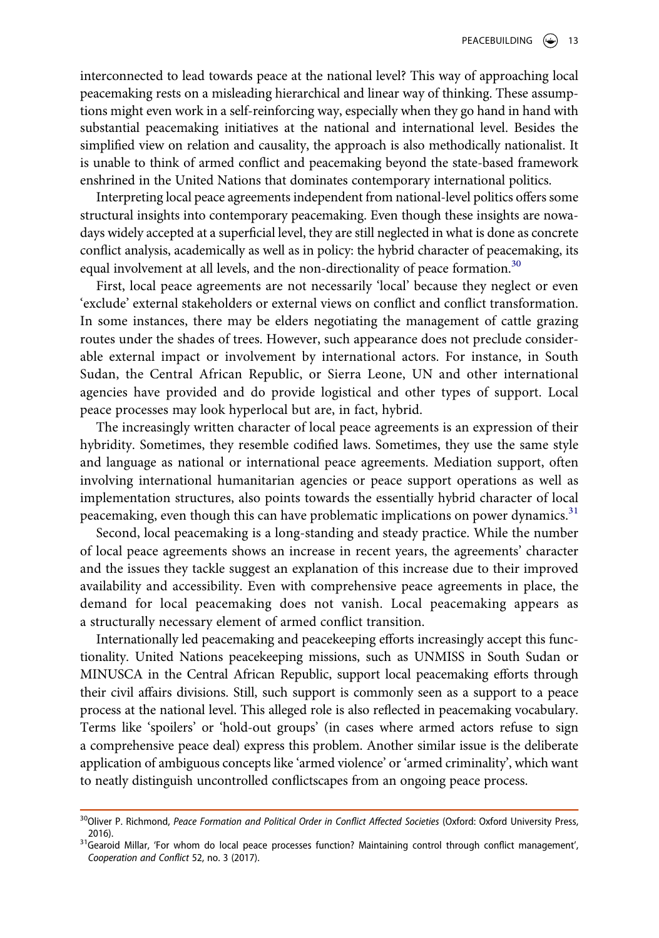interconnected to lead towards peace at the national level? This way of approaching local peacemaking rests on a misleading hierarchical and linear way of thinking. These assumptions might even work in a self-reinforcing way, especially when they go hand in hand with substantial peacemaking initiatives at the national and international level. Besides the simplified view on relation and causality, the approach is also methodically nationalist. It is unable to think of armed conflict and peacemaking beyond the state-based framework enshrined in the United Nations that dominates contemporary international politics.

Interpreting local peace agreements independent from national-level politics offers some structural insights into contemporary peacemaking. Even though these insights are nowadays widely accepted at a superficial level, they are still neglected in what is done as concrete conflict analysis, academically as well as in policy: the hybrid character of peacemaking, its equal involvement at all levels, and the non-directionality of peace formation.<sup>[30](#page-13-0)</sup>

First, local peace agreements are not necessarily 'local' because they neglect or even 'exclude' external stakeholders or external views on conflict and conflict transformation. In some instances, there may be elders negotiating the management of cattle grazing routes under the shades of trees. However, such appearance does not preclude considerable external impact or involvement by international actors. For instance, in South Sudan, the Central African Republic, or Sierra Leone, UN and other international agencies have provided and do provide logistical and other types of support. Local peace processes may look hyperlocal but are, in fact, hybrid.

The increasingly written character of local peace agreements is an expression of their hybridity. Sometimes, they resemble codified laws. Sometimes, they use the same style and language as national or international peace agreements. Mediation support, often involving international humanitarian agencies or peace support operations as well as implementation structures, also points towards the essentially hybrid character of local peacemaking, even though this can have problematic implications on power dynamics.<sup>[31](#page-13-1)</sup>

Second, local peacemaking is a long-standing and steady practice. While the number of local peace agreements shows an increase in recent years, the agreements' character and the issues they tackle suggest an explanation of this increase due to their improved availability and accessibility. Even with comprehensive peace agreements in place, the demand for local peacemaking does not vanish. Local peacemaking appears as a structurally necessary element of armed conflict transition.

Internationally led peacemaking and peacekeeping efforts increasingly accept this functionality. United Nations peacekeeping missions, such as UNMISS in South Sudan or MINUSCA in the Central African Republic, support local peacemaking efforts through their civil affairs divisions. Still, such support is commonly seen as a support to a peace process at the national level. This alleged role is also reflected in peacemaking vocabulary. Terms like 'spoilers' or 'hold-out groups' (in cases where armed actors refuse to sign a comprehensive peace deal) express this problem. Another similar issue is the deliberate application of ambiguous concepts like 'armed violence' or 'armed criminality', which want to neatly distinguish uncontrolled conflictscapes from an ongoing peace process.

<span id="page-13-0"></span><sup>&</sup>lt;sup>30</sup>Oliver P. Richmond, Peace Formation and Political Order in Conflict Affected Societies (Oxford: Oxford University Press,

<span id="page-13-1"></span><sup>2016). &</sup>lt;sup>31</sup>Gearoid Millar, 'For whom do local peace processes function? Maintaining control through conflict management', *Cooperation and Conflict* 52, no. 3 (2017).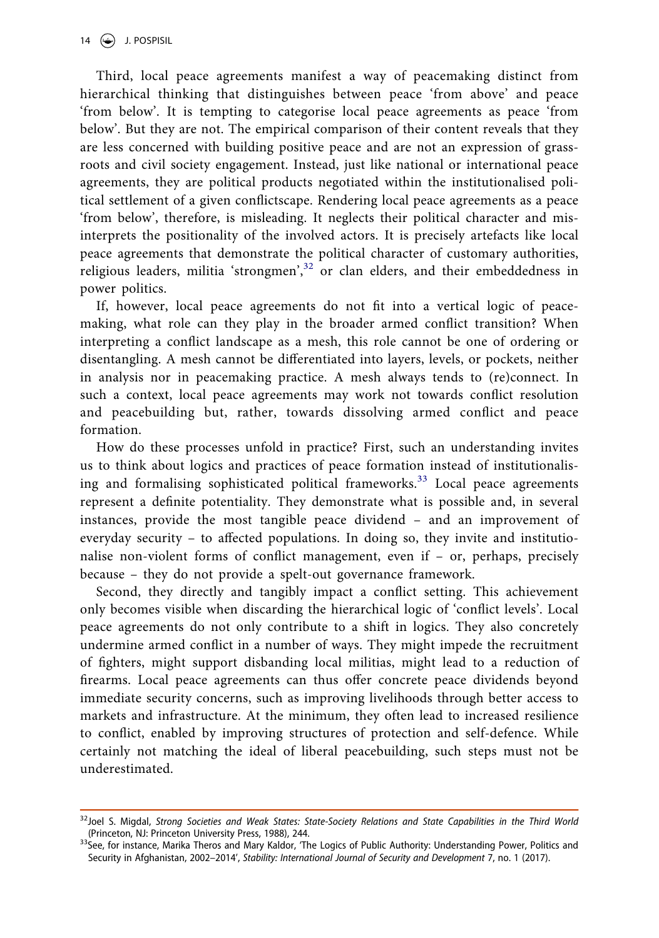Third, local peace agreements manifest a way of peacemaking distinct from hierarchical thinking that distinguishes between peace 'from above' and peace 'from below'. It is tempting to categorise local peace agreements as peace 'from below'. But they are not. The empirical comparison of their content reveals that they are less concerned with building positive peace and are not an expression of grassroots and civil society engagement. Instead, just like national or international peace agreements, they are political products negotiated within the institutionalised political settlement of a given conflictscape. Rendering local peace agreements as a peace 'from below', therefore, is misleading. It neglects their political character and misinterprets the positionality of the involved actors. It is precisely artefacts like local peace agreements that demonstrate the political character of customary authorities, religious leaders, militia 'strongmen',<sup>32</sup> or clan elders, and their embeddedness in power politics.

If, however, local peace agreements do not fit into a vertical logic of peacemaking, what role can they play in the broader armed conflict transition? When interpreting a conflict landscape as a mesh, this role cannot be one of ordering or disentangling. A mesh cannot be differentiated into layers, levels, or pockets, neither in analysis nor in peacemaking practice. A mesh always tends to (re)connect. In such a context, local peace agreements may work not towards conflict resolution and peacebuilding but, rather, towards dissolving armed conflict and peace formation.

How do these processes unfold in practice? First, such an understanding invites us to think about logics and practices of peace formation instead of institutionalis-ing and formalising sophisticated political frameworks.<sup>[33](#page-14-1)</sup> Local peace agreements represent a definite potentiality. They demonstrate what is possible and, in several instances, provide the most tangible peace dividend – and an improvement of everyday security – to affected populations. In doing so, they invite and institutionalise non-violent forms of conflict management, even if – or, perhaps, precisely because – they do not provide a spelt-out governance framework.

Second, they directly and tangibly impact a conflict setting. This achievement only becomes visible when discarding the hierarchical logic of 'conflict levels'. Local peace agreements do not only contribute to a shift in logics. They also concretely undermine armed conflict in a number of ways. They might impede the recruitment of fighters, might support disbanding local militias, might lead to a reduction of firearms. Local peace agreements can thus offer concrete peace dividends beyond immediate security concerns, such as improving livelihoods through better access to markets and infrastructure. At the minimum, they often lead to increased resilience to conflict, enabled by improving structures of protection and self-defence. While certainly not matching the ideal of liberal peacebuilding, such steps must not be underestimated.

<span id="page-14-0"></span><sup>&</sup>lt;sup>32</sup>Joel S. Migdal, *Strong Societies and Weak States: State-Society Relations and State Capabilities in the Third World (Princeton, NJ: Princeton University Press, 1988), 244.* 

<span id="page-14-1"></span><sup>33</sup>See, for instance, Marika Theros and Mary Kaldor, 'The Logics of Public Authority: Understanding Power, Politics and Security in Afghanistan, 2002–2014', *Stability: International Journal of Security and Development 7*, no. 1 (2017).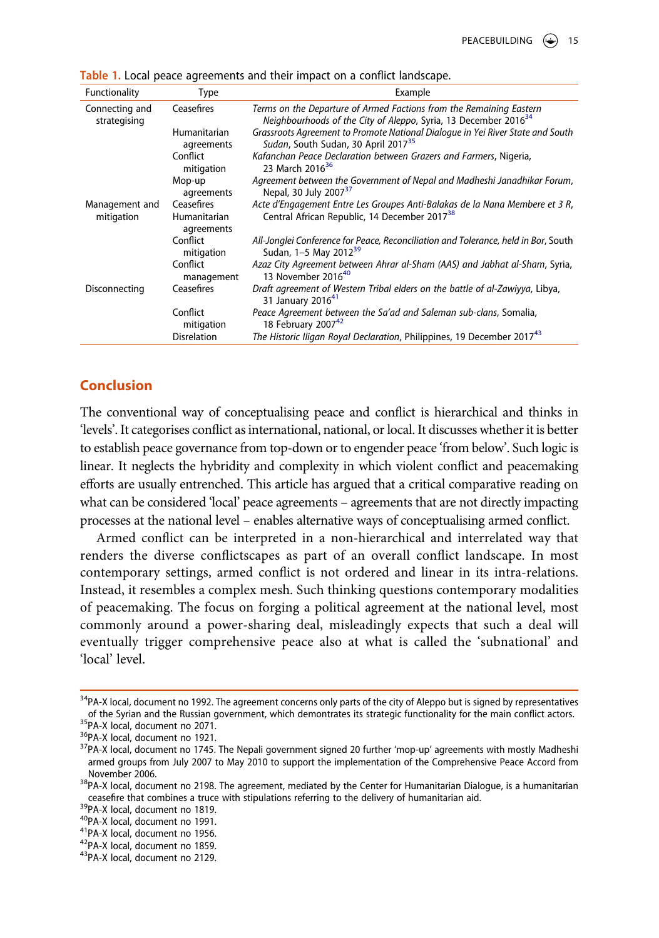| Functionality                  | Type                       | Example                                                                                                                                            |
|--------------------------------|----------------------------|----------------------------------------------------------------------------------------------------------------------------------------------------|
| Connecting and<br>strategising | Ceasefires                 | Terms on the Departure of Armed Factions from the Remaining Eastern<br>Neighbourhoods of the City of Aleppo, Syria, 13 December 2016 <sup>34</sup> |
|                                | Humanitarian<br>agreements | Grassroots Agreement to Promote National Dialogue in Yei River State and South<br>Sudan, South Sudan, 30 April 2017 <sup>35</sup>                  |
|                                | Conflict<br>mitigation     | Kafanchan Peace Declaration between Grazers and Farmers, Nigeria,<br>23 March 2016 <sup>36</sup>                                                   |
|                                | Mop-up<br>agreements       | Agreement between the Government of Nepal and Madheshi Janadhikar Forum,<br>Nepal, 30 July 2007 <sup>37</sup>                                      |
| Management and<br>mitigation   | Ceasefires<br>Humanitarian | Acte d'Engagement Entre Les Groupes Anti-Balakas de la Nana Membere et 3 R,<br>Central African Republic, 14 December 2017 <sup>38</sup>            |
|                                | agreements                 |                                                                                                                                                    |
|                                | Conflict<br>mitigation     | All-Jonglei Conference for Peace, Reconciliation and Tolerance, held in Bor, South<br>Sudan, 1-5 May 2012 <sup>39</sup>                            |
|                                | Conflict<br>management     | Azaz City Agreement between Ahrar al-Sham (AAS) and Jabhat al-Sham, Syria,<br>13 November 2016 <sup>40</sup>                                       |
| Disconnecting                  | Ceasefires                 | Draft agreement of Western Tribal elders on the battle of al-Zawiyya, Libya,<br>31 January 2016 <sup>41</sup>                                      |
|                                | Conflict<br>mitigation     | Peace Agreement between the Sa'ad and Saleman sub-clans, Somalia,<br>18 February 200742                                                            |
|                                | <b>Disrelation</b>         | The Historic Iligan Royal Declaration, Philippines, 19 December 2017 <sup>43</sup>                                                                 |

<span id="page-15-0"></span>**Table 1.** Local peace agreements and their impact on a conflict landscape.

#### **Conclusion**

[The conventional way of conceptualising peace and conflict is hierarchical and thinks in](#page-15-1)  ['levels'. It categorises conflict as international, national, or local. It discusses whether it is better](#page-15-2)  [to establish peace governance from top-down or to engender peace 'from below'. Such logic is](#page-15-2)  [linear. It neglects the hybridity and complexity in which violent conflict and peacemaking](#page-15-2)  [efforts are usually entrenched. This article has argued that a critical comparative reading on](#page-15-2)  what can be considered 'local' peace agreements – agreements that are not directly impacting [processes at the national level – enables alternative ways of conceptualising armed conflict.](#page-15-2)

Armed conflict can be interpreted in a non-hierarchical and interrelated way that renders the diverse conflictscapes as part of an overall conflict landscape. In most contemporary settings, armed conflict is not ordered and linear in its intra-relations. Instead, it resembles a complex mesh. Such thinking questions contemporary modalities of peacemaking. The focus on forging a political agreement at the national level, most commonly around a power-sharing deal, misleadingly expects that such a deal will eventually trigger comprehensive peace also at what is called the 'subnational' and 'local' level.

- <span id="page-15-7"></span>
- <span id="page-15-9"></span><span id="page-15-8"></span>

<span id="page-15-2"></span>

<span id="page-15-1"></span> $34P$ A-X local, document no 1992. The agreement concerns only parts of the city of Aleppo but is signed by representatives of the Syrian and the Russian government, which demontrates its strategic functionality for the ma

<span id="page-15-5"></span><span id="page-15-4"></span>

<span id="page-15-3"></span><sup>&</sup>lt;sup>35</sup>PA-X local, document no 2071.<br><sup>36</sup>PA-X local, document no 1921.<br><sup>37</sup>PA-X local, document no 1745. The Nepali government signed 20 further 'mop-up' agreements with mostly Madheshi armed groups from July 2007 to May 2010 to support the implementation of the Comprehensive Peace Accord from<br>November 2006

<span id="page-15-6"></span><sup>&</sup>lt;sup>38</sup>PA-X local, document no 2198. The agreement, mediated by the Center for Humanitarian Dialogue, is a humanitarian ceasefire that combines a truce with stipulations referring to the delivery of humanitarian aid.<br><sup>39</sup>PA-X local, document no 1819.<br><sup>40</sup>PA-X local, document no 1991.<br><sup>41</sup>PA-X local, document no 1956.<br><sup>42</sup>PA-X local, docume

<span id="page-15-10"></span>